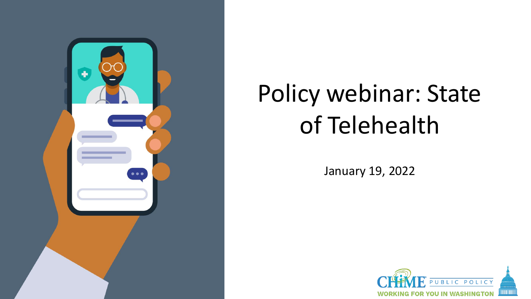

# Policy webinar: State of Telehealth

January 19, 2022

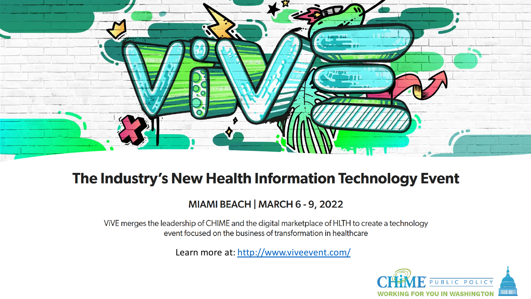

#### The Industry's New Health Information Technology Event

#### **MIAMI BEACH | MARCH 6 - 9, 2022**

ViVE merges the leadership of CHIME and the digital marketplace of HLTH to create a technology event focused on the business of transformation in healthcare

Learn more at:<http://www.viveevent.com/>

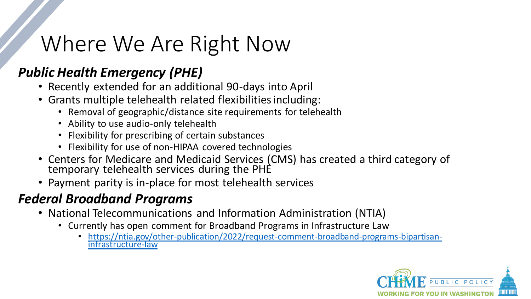### Where We Are Right Now

#### *Public Health Emergency (PHE)*

- Recently extended for an additional 90-days into April
- Grants multiple telehealth related flexibilities including:
	- Removal of geographic/distance site requirements for telehealth
	- Ability to use audio-only telehealth
	- Flexibility for prescribing of certain substances
	- Flexibility for use of non-HIPAA covered technologies
- Centers for Medicare and Medicaid Services (CMS) has created a third category of temporary telehealth services during the PHE
- Payment parity is in-place for most telehealth services

#### *Federal Broadband Programs*

- National Telecommunications and Information Administration (NTIA)
	- Currently has open comment for Broadband Programs in Infrastructure Law
		- [https://ntia.gov/other-publication/2022/request-comment-broadband-programs-bipartisan](https://ntia.gov/other-publication/2022/request-comment-broadband-programs-bipartisan-infrastructure-law)infrastructure-law

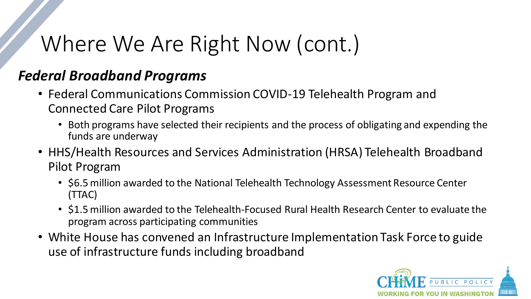### Where We Are Right Now (cont.)

#### *Federal Broadband Programs*

- Federal Communications Commission COVID-19 Telehealth Program and Connected Care Pilot Programs
	- Both programs have selected their recipients and the process of obligating and expending the funds are underway
- HHS/Health Resources and Services Administration (HRSA) Telehealth Broadband Pilot Program
	- \$6.5 million awarded to the National Telehealth Technology Assessment Resource Center (TTAC)
	- \$1.5 million awarded to the Telehealth-Focused Rural Health Research Center to evaluate the program across participating communities
- White House has convened an Infrastructure Implementation Task Force to guide use of infrastructure funds including broadband

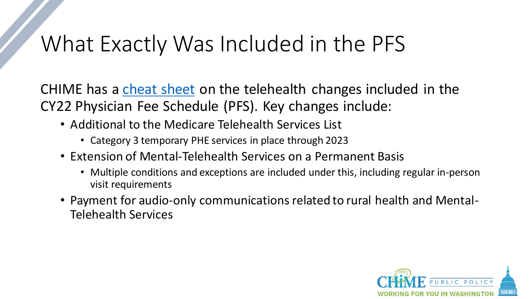### What Exactly Was Included in the PFS

CHIME has a [cheat sheet](https://chimecentral.org/wp-content/uploads/2021/11/Summary-of-CY22-Physician-Fee-Schedule-Teleheatlh.pdf) on the telehealth changes included in the CY22 Physician Fee Schedule (PFS). Key changes include:

- Additional to the Medicare Telehealth Services List
	- Category 3 temporary PHE services in place through 2023
- Extension of Mental-Telehealth Services on a Permanent Basis
	- Multiple conditions and exceptions are included under this, including regular in-person visit requirements
- Payment for audio-only communications related to rural health and Mental-Telehealth Services

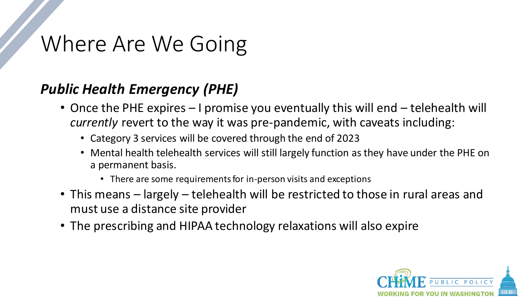### Where Are We Going

#### *Public Health Emergency (PHE)*

- Once the PHE expires I promise you eventually this will end telehealth will *currently* revert to the way it was pre-pandemic, with caveats including:
	- Category 3 services will be covered through the end of 2023
	- Mental health telehealth services will still largely function as they have under the PHE on a permanent basis.
		- There are some requirements for in-person visits and exceptions
- This means largely telehealth will be restricted to those in rural areas and must use a distance site provider
- The prescribing and HIPAA technology relaxations will also expire

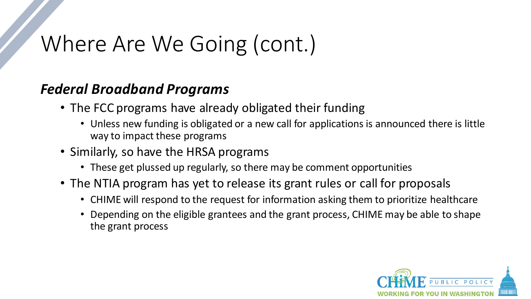## Where Are We Going (cont.)

#### *Federal Broadband Programs*

- The FCC programs have already obligated their funding
	- Unless new funding is obligated or a new call for applications is announced there is little way to impact these programs
- Similarly, so have the HRSA programs
	- These get plussed up regularly, so there may be comment opportunities
- The NTIA program has yet to release its grant rules or call for proposals
	- CHIME will respond to the request for information asking them to prioritize healthcare
	- Depending on the eligible grantees and the grant process, CHIME may be able to shape the grant process

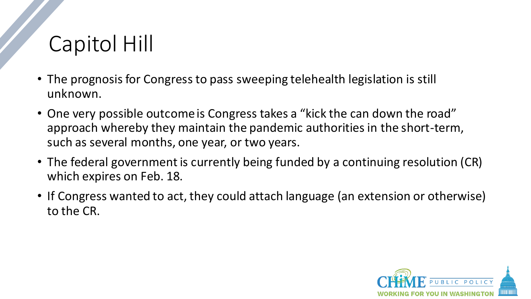### Capitol Hill

- The prognosis for Congress to pass sweeping telehealth legislation is still unknown.
- One very possible outcome is Congress takes a "kick the can down the road" approach whereby they maintain the pandemic authorities in the short-term, such as several months, one year, or two years.
- The federal government is currently being funded by a continuing resolution (CR) which expires on Feb. 18.
- If Congress wanted to act, they could attach language (an extension or otherwise) to the CR.

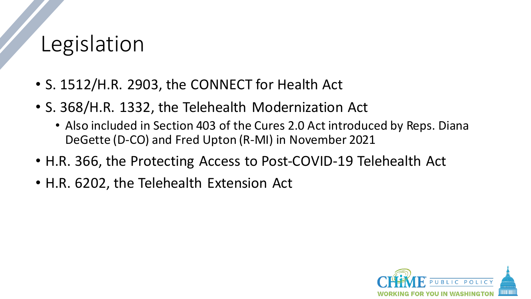### Legislation

- S. 1512/H.R. 2903, the CONNECT for Health Act
- S. 368/H.R. 1332, the Telehealth Modernization Act
	- Also included in Section 403 of the Cures 2.0 Act introduced by Reps. Diana DeGette (D-CO) and Fred Upton (R-MI) in November 2021
- H.R. 366, the Protecting Access to Post-COVID-19 Telehealth Act
- H.R. 6202, the Telehealth Extension Act

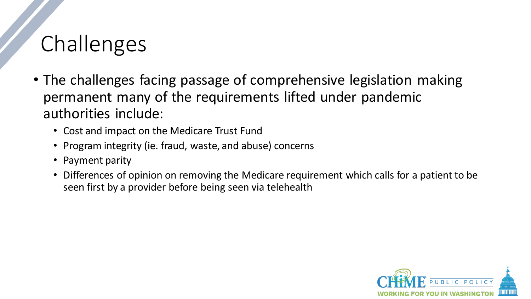### Challenges

- The challenges facing passage of comprehensive legislation making permanent many of the requirements lifted under pandemic authorities include:
	- Cost and impact on the Medicare Trust Fund
	- Program integrity (ie. fraud, waste, and abuse) concerns
	- Payment parity
	- Differences of opinion on removing the Medicare requirement which calls for a patient to be seen first by a provider before being seen via telehealth